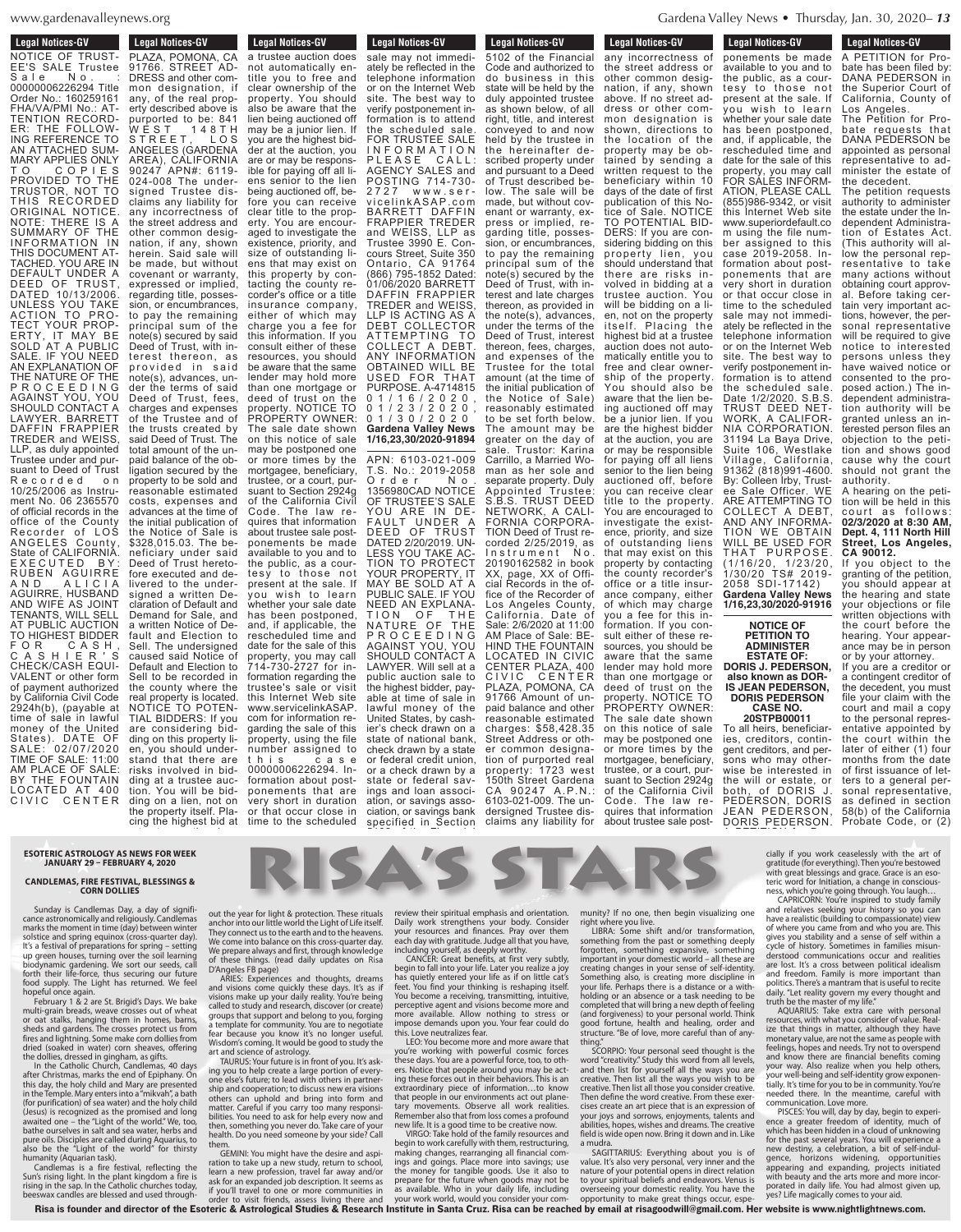$PWS. OSP$  $\mathcal{B}$ 

**Legal Notices-GV** 

**Legal Notices-GV** NOTICE OF TRUST-EE'S SALE Trustee Sale No. : 00000006226294 Title Order No.: 160259161 FHA/VA/PMI No.: AT-TENTION RECORD-ER: THE FOLLOW-ING REFERENCE TO AN ATTACHED SUM-MARY APPLIES ONLY T O C O P I E S PROVIDED TO THE TRUSTOR, NOT TO THIS RECORDED ORIGINAL NOTICE. NOTE: THERE IS A SUMMARY OF THE INFORMATION IN THIS DOCUMENT AT-TACHED. YOU ARE IN DEFAULT UNDER A DEED OF TRUST, DATED 10/13/2006 UNLESS YOU TAKE ACTION TO PRO-TECT YOUR PROP-ERTY, IT MAY BE SOLD AT A PUBLIC SALE. IF YOU NEED AN EXPLANATION OF THE NATURE OF THE P R O C E E D I N G AGAINST YOU, YOU SHOULD CONTACT A LAWYER. BARRETT DAFFIN FRAPPIER TREDER and WEISS, LLP, as duly appointed Trustee under and pursuant to Deed of Trust Recorded on 10/25/2006 as Instrument No. 06 2365570 of official records in the office of the County Recorder of LOS ANGELES County, State of CALIFORNIA<br>EXECUTED BY RUBEN AGUIRRE A N DA LICIA AGUIRRE, HUSBAND AND WIFE AS JOINT TENANTS, WILL SELL AT PUBLIC AUCTION TO HIGHEST BIDDER F O R C A S H , C A S H I E R ' S CHECK/CASH EQUI-VALENT or other form of payment authorized California Civil Code 2924h(b), (payable at time of sale in lawful money of the United States). DATE OF SALE: 02/07/202 0 TIME OF SALE: 11:00 AM PLACE OF SALE: BY THE FOUNTAIN LOCATED AT 400 CIVIC CENTER

Legal Nutres-GV PLAZA, POMONA, CA 91766. STREET AD-DRESS and other common designation, if any, of the real property described above is purported to be: 841 W E S T 1 4 8 T H S T R E E T , L O S ANGELES (GARDENA AREA), CALIFORNIA 90247 APN#: 6119- 024-008 The undersigned Trustee disclaims any liability for any incorrectness of the street address and other common designation, if any, shown herein. Said sale will be made, but without covenant or warranty, expressed or implied, regarding title, possession, or encumbrances, to pay the remaining principal sum of the note(s) secured by said Deed of Trust, with interest thereon, as provided in said note(s), advances, under the terms of said Deed of Trust, fees, charges and expenses of the Trustee and of the trusts created by said Deed of Trust. The total amount of the unpaid balance of the obligation secured by the property to be sold and reasonable estimated costs, expenses and advances at the time of the initial publication of the Notice of Sale is \$328,015.03. The beneficiary under said Deed of Trust heretofore executed and delivered to the undersigned a written Declaration of Default and Demand for Sale, and a written Notice of Default and Election to Sell. The undersigned caused said Notice of Default and Election to Sell to be recorded in the county where the real property is located. NOTICE TO POTEN-TIAL BIDDERS: If you are considering bidding on this property lien, you should understand that there are risks involved in bidding at a trustee auction. You will be bidding on a lien, not on the property itself. Placing the highest bid at

specified in Section **Legal Notices-GV** cing the highest bid at  $\frac{1}{2}$ a trustee auction does not automatically entitle you to free and clear ownership of the property. You should also be aware that the lien being auctioned off may be a junior lien. If you are the highest bidder at the auction, you are or may be responsible for paying off all liens senior to the lien being auctioned off, before you can receive clear title to the property. You are encouraged to investigate the existence, priority, and size of outstanding liens that may exist on this property by contacting the county recorder's office or a title insurance company, either of which may charge you a fee for this information. If you consult either of these resources, you should be aware that the same lender may hold more than one mortgage or deed of trust on the property. NOTICE TO PROPERTY OWNER: The sale date shown on this notice of sale may be postponed one or more times by the mortgagee, beneficiary, trustee, or a court, pursuant to Section 2924g of the California Civil Code. The law requires that information about trustee sale postponements be made available to you and to the public, as a courtesy to those not present at the sale. If you wish to learn whether your sale date has been postponed, and, if applicable, the rescheduled time and date for the sale of this property, you may call 714-730-2727 for information regarding the trustee's sale or visit this Internet Web site www.servicelinkASAP. com for information regarding the sale of this property, using the file number assigned to this case 00000006226294. Information about postponements that are very short in duration or that occur close in time to the scheduled

**Legal Notices-GV** tegal numes-uv sale may not immediately be reflected in the telephone information or on the Internet Web site. The best way to verify postponement information is to attend the scheduled sale. FOR TRUSTEE SALE I N F O R M A T I O N P L E A S E C A L L : AGENCY SALES and POSTING 714-730- 2 7 2 7 w w w . s e r v i c e l i n kASAP. c o m BARRETT DAFFIN FRAPPIER TREDER and WEISS, LLP as Trustee 3990 E. Concours Street, Suite 350 Ontario, CA 91764 (866) 795-1852 Dated: 01/06/2020 BARRETT DAFFIN FRAPPIER TREDER and WEISS, LLP IS ACTING AS A DEBT COLLECTOR ATTEMPTING TO COLLECT A DEBT. ANY INFORMATION OBTAINED WILL BE USED FOR THAT PURPOSE. A-4714815 0 1 / 1 6 / 2 0 2 0 , 0 1 / 2 3 / 2 0 2 0 , 0 1 / 3 0 / 2 0 2 0 **Gardena Valley News 1/16,23,30/2020-91894** APN: 6103-021-009 T.S. No.: 2019-2058 Order No. 1356980CAD NOTICE OF TRUSTEE'S SALE YOU ARE IN DE-FAULT UNDER A DEED OF TRUST

DATED 2/20/2019. UN-LESS YOU TAKE AC-TION TO PROTECT YOUR PROPERTY, IT MAY BE SOLD AT A PUBLIC SALE. IF YOU NEED AN EXPLANA-TION OF THE NATURE OF THE P R O C E E D I N G AGAINST YOU, YOU SHOULD CONTACT A LAWYER. Will sell at a public auction sale to the highest bidder, payable at time of sale in lawful money of the United States, by cashier's check drawn on a state of national bank, check drawn by a state or federal credit union, or a check drawn by a state or federal savings and loan association, or savings association, or savings bank

Code and authorized to do business in this case of state will be held by the duly appointed trustee as shown below, of all right, title, and interest

**Legal Notices-GV** Legal Nutrices-GV 5102 of the Financial Code and authorized to do business in this state will be held by the duly appointed trustee as shown below, of all right, title, and interest conveyed to and now held by the trustee in the hereinafter described property under and pursuant to a Deed of Trust described below. The sale will be made, but without covenant or warranty, express or implied, regarding title, possession, or encumbrances, to pay the remaining principal sum of the note(s) secured by the Deed of Trust, with interest and late charges thereon, as provided in the note(s), advances, under the terms of the Deed of Trust, interest thereon, fees, charges, and expenses of the Trustee for the total amount (at the time of the initial publication of the Notice of Sale) reasonably estimated to be set forth below. The amount may be greater on the day of sale. Trustor: Karina Carrillo, a Married Woman as her sole and separate property. Duly Appointed Trustee: S.B.S. TRUST DEED NETWORK, A CALI-FORNIA CORPORA-TION Deed of Trust recorded 2/25/2019, as Instrument No. 20190162582 in book XX, page, XX of Official Records in the office of the Recorder of Los Angeles County, California. Date of Sale: 2/6/2020 at 11:00 AM Place of Sale: BE-HIND THE FOUNTAIN LOCATED IN CIVIC CENTER PLAZA, 400 CIVIC CENTER PLAZA, POMONA, CA 91766 Amount of unpaid balance and other reasonable estimated charges: \$58,428.35 Street Address or other common designation of purported real property: 1723 west 150th Street Gardena CA 90247 A.P.N.: 6103-021-009. The undersigned Trustee disclaims any liability for

www.gardenavalleynews.org **Gardena Valley News • Thursday, Jan. 30, 2020**– 13  $P_{\text{P}}$ lley News • Thursd Code. The law re-Cardena V  $641016$ 

**Legal Notices-GV** 

Legal Nutries-GV A PETITION for Probate has been filed by: DANA PEDERSON in the Superior Court of California, County of Los Angeles. The Petition for Probate requests that DANA PEDERSON be appointed as personal representative to administer the estate of the decedent. The petition requests authority to administer the estate under the Independent Administration of Estates Act. (This authority will allow the personal representative to take many actions without obtaining court approval. Before taking certain very important actions, however, the personal representative will be required to give notice to interested persons unless they have waived notice or consented to the proposed action.) The independent administration authority will be granted unless an interested person files an objection to the petition and shows good cause why the court should not grant the

**Legal Notices-GV** Legal Nutles-GV ponements be made **Legal Notices-GV** claim in a little state for the set of the set of the set of the set of the set of the set of the set of the s any incorrectness of the street address or other common designation, if any, shown above. If no street address or other common designation is shown, directions to the location of the property may be obtained by sending a written request to the beneficiary within 10 days of the date of first publication of this Notice of Sale. NOTICE TO POTENTIAL BID-DERS: If you are considering bidding on this property lien, you should understand that there are risks involved in bidding at a trustee auction. You will be bidding on a lien, not on the property itself. Placing the highest bid at a trustee auction does not automatically entitle you to free and clear ownership of the property. You should also be aware that the lien being auctioned off may be a junior lien. If you are the highest bidder at the auction, you are or may be responsible for paying off all liens senior to the lien being auctioned off, before you can receive clear title to the property. You are encouraged to investigate the existence, priority, and size of outstanding liens that may exist on this property by contacting the county recorder's office or a title insurance company, either of which may charge you a fee for this information. If you consult either of these resources, you should be aware that the same lender may hold more than one mortgage or deed of trust on the property. NOTICE TO PROPERTY OWNER: The sale date shown on this notice of sale

available to you and to the public, as a courtesy to those not present at the sale. If you wish to learn whether your sale date has been postponed, and, if applicable, the rescheduled time and date for the sale of this property, you may call FOR SALES INFORM-ATION, PLEASE CALL (855)986-9342, or visit this Internet Web site www.superiordefault.co m using the file number assigned to this case 2019-2058. Information about postponements that are very short in duration or that occur close in time to the scheduled sale may not immediately be reflected in the telephone information or on the Internet Web site. The best way to verify postponement information is to attend the scheduled sale. Date 1/2/2020. S.B.S. TRUST DEED NET-WORK, A CALIFOR-NIA CORPORATION. 31194 La Baya Drive, Suite 106, Westlake Village, California, 91362 (818)991-4600. By: Colleen Irby, Trustee Sale Officer. WE ARE ATTEMPTING TO COLLECT A DEBT, AND ANY INFORMA-TION WE OBTAIN WILL BE USED FOR THAT PURPOSE. (1/16/20, 1/23/20, 1/30/20 TS# 2019- 2058 SDI-17142) **Gardena Valley News 1/16,23,30/2020-91916 NOTICE OF**

#### **PETITION TO ADMINISTER ESTATE OF: DORIS J. PEDERSON, also known as DOR-IS JEAN PEDERSON, DORIS PEDERSON CASE NO.**

**20STPB00011** To all heirs, beneficiaries, creditors, contingent creditors, and persons who may otherwise be interested in the will or estate, or both, of DORIS J. PEDERSON, DORIS JEAN PEDERSON, DORIS PEDERSON. may be postponed one or more times by the mortgagee, beneficiary, quires that information about trustee sale post-

of first issuance of letters to a general personal representative, as defined in section 58(b) of the California Probate Code, or (2) cially if you work ceaselessly with the art of

authority.

**CA 90012.**

A hearing on the petition will be held in this court as follows **02/3/2020 at 8:30 AM, Dept. 4, 111 North Hill Street, Los Angeles,**

If you object to the granting of the petition, you should appear at the hearing and state your objections or file written objections with the court before the hearing. Your appearance may be in person or by your attorney. If you are a creditor or a contingent creditor of the decedent, you must file your claim with the court and mail a copy to the personal representative appointed by the court within the later of either (1) four months from the date

iing). Then you're bestowed and grace. Grace is an esoon, a change in conscious-**DANA PEDERSON INC.** CONTENTS CONTENTS ON THE PEDERSON INC. the Superior Court of the Superior Court of the Superior Court of the Superior Court of the Superior Court of the Superior Court of the Superior Court of the Superior Court of the Superior Court of the Superior Court of th **California** with great blessin Los Angeles. The terric w **IRIC ASTROLOGY AS NEWS FOR WEEK**<br> **JANUARY 29 – FEBRUARY 4, 2020**<br> **DIEMAS, FIRE FESTIVAL, BLESSINGS &**<br>
CORN DOLLIES<br>
CORN DOLLIES<br>
CORN DOLLIES<br>
CORN DOLLIES<br>
CORN DOLLIES<br>
CORN DOLLIES

ing through. You laugh...<br>re inspired to study family<br>g your history so you can<br>ing to compassionate) view ing to compassionate, them<br>rom and who you are. This nd a sense of self within a netimes in families misunations occur and between political idealism ipline in and freedom. Family is more important than<br>r a with- politics. There's a mantram that is useful to recite itram that is useful to recite<br>iorn my overy thought and ern my every mought and<br>of my life" ness, which youre<br>CAPRICORN: Ye<br>zing one and relatives seel<br>have a realistic (bu motion of where you can  $\alpha$  deeply gives you stability mething cycle of history. identity.  $\frac{d}{dx}$  are lost. It's a cror a with-<br>daily "Let reality o  $\frac{1}{2}$  dependent  $\frac{1}{2}$  and  $\frac{1}{2}$  and  $\frac{1}{2}$  are the master cially if you work ceaselessly with the art of<br>gratitude (for everything). Then you're bestwored<br>with great beessings and grace. Grace is an esc-<br>teric word for Initiation, a change in conscious-<br>ness, which you're going t daily. "Let reality govern my every thought and truth be the master of my life." AQUARIUS: Take extra care with personal

may file:<br>extra care with personal IQ. Think<br>der and resources, with what you consider of value. Real-Notice (form Deptemant of the same as people with<br>needs. Try not to overspend financial benefits coming<br>settless used halo athers ze wnen you neip otners,<br>olf identity.grow.expenen. seil-identity grow exporten-<br>Lto be in community You're co be in community. Toute<br>le meantime, careful with reconcernation of the Special Annual Section 4.1 and the Special Annual Section 4.1 and 2.1 and 2.1 and 2.1 and 2.1 and 2.1 and 2.1 and 2.1 and 2.1 and 2.1 and 2.1 and 2.1 and 2.1 and 2.1 and 2.1 and 2.1 and 2.1 and 2.1 an tion of Estates Act.  $\frac{d}{d}$  and ize that things in refunction in monetary value, a the feelings, hopes an all levels, and know there  $\ddot{ }$ you are your way. Also re  $\frac{1}{2}$  to be your well-belling at  $t_i$  creative.  $t_i$  and  $t_i$  is the perese exer-<br>ession of communication. L ize that things in matter, although they have monetary value, are not the same as people with feelings, hopes and needs. Try not to overspend and know there are financial benefits coming your way. Also realize when you help others, your well-being and self-identity grow exponen-tially. It's time for you to be in community. You're needed there. In the meantime, careful with

lay by day, begin to experidom of identity, much of en in a c ears. You will experience a oration, a bit of seif-indui-<br>widening - ennertunities widerling, opportunities<br>anding projects initiated appearing and expanding, projects initiated<br>with beauty and the arts more and more incor-You h porated in daily life. You had almost given up,<br>yes? Life magically comes to your aid. ession of PISCES: You wil  $\frac{1}{10}$  creative ence a greater fr d in. Like which has been hi have made to the past severe  $\frac{1}{2}$  ou is of the new destiny, a conservation and the  $\frac{9}{2}$  gence, nonzons  $\frac{d}{dt}$  relation administration and t venus is the porated in daily li liave the line best Life magically communication. Love more. PISCES: You will, day by day, begin to experi-ence a greater freedom of identity, much of which has been hidden in a cloud of unknowing for the past several years. You will experience a new destiny, a celebration, a bit of self-indul-gence, horizons widening, opportunities with beauty and the arts more and more incoryes? Life magically comes to your aid.

#### **ESOTERIC ASTROLOGY AS NEWS FOR WEEK** clear of the UARV 29 - FEBRUARY 4, 2020 property. You should be a short that the second state of the second state of the second state of the second st purported to be a series of the series of the series of the series of the series of the series of the series o ★★ ★ ★★ **ESOTERIC ASTROLOGY AS NEWS FOR WEEK**

PLAZA, POMONA, CA

#### al, BLESSINGS &<br>'FC lien being auctioned of the state of the state of the state of the state of the state of the state of the state of the state of the state of the state of the state of the state of the state of the state of the state of the CANDLEMAS, FIRE FEST S T R E E T R E E T R E E T R E T R E T R E T R E **CANDLEMAS, FIRE FESTIVAL, BLESSINGS & CORN DOLLIES**

Sunday is Candlemas Day, a day of signifi $y$ , a day or signm out the  $\alpha$ grously called the anchor i  $\frac{1}{2}$  l hey composed and the responsive responsive to  $\frac{1}{2}$ for spring – setting  $\frac{1}{100}$  we come er the soil learning the pick ort our seeds, call of these ecuring our future ARIE returned. We feel and visi **CALIGATION** IS Californias<br>CALLER ASTRONOMICALLY AND I cance astronomically and religiously. Candlemas<br>marks the moment in time (dav) between winter solstice and spring equind It's a festival of preparation any up green houses, turning biodynamic gardening. W forth their life-force, thus ood supply. The Light h marks the moment in time (day) between winter<br>solstice and spring equinox (cross-quarter day).<br>This a festival of preparations for spring – setting<br>up green houses, turning over the soil learning<br>biodynamic gardening. We s

rid's Davs, We bake visions aged to investment called to interest to the to realist  $\lim_{x \to 0} \frac{1}{x}$  in homes, barns, groups size protect us from<br>the corn dollies from<br>the sheaves, offering<br>art and m, as gifts. TAUF noperur once again.<br>February 1 & 2 are St. F herein. There is a state of the multi-grain breads, weave be made grammatically, receive sheds and gardens. The cro fires and lightning. Some m dried (soaked in water) c the dollies, dressed in ging

andiernas, 40 days and you in under provincial company, under the company of the company of the company of the company of the company of t<br>Natural company of the company of the company of the company of the company of the company of the company of t hary are presented ship and<br>o a "mikvah" a bath  $\alpha$  and the holy child  $\alpha$ promised and long Induction.  $\frac{c}{c}$  he world." We, too,  $\frac{c}{c}$  then so a water, herbs and the health I  $\frac{1}{2}$  because the same the same the same the same the same that the same same that  $\frac{1}{2}$  is the same that  $\frac{1}{2}$  is the same the same that  $\frac{1}{2}$  is the same that  $\frac{1}{2}$  is the same that  $\frac{1}{2}$  is the world for thirsty GEM in the Catholic Church<br>ofter Christmas, marks the arter Crinstrias, marks the<br>this day the holy child and not secure the secure terms and secure terms in the Temple Mary enters. minute remplements entersti<br>(for purification) of sea wat (Jesus) is recognized as th awaited one - the "Light o bathe ourselves in salt and pure oils. Disciples are calle also be the "Light of th the dollies, dressed in gingham, as gifts.<br>In the Catholic Church, Canldemas, 40 days<br>after Christmas, marks the end of Epiphany. On<br>this day, the holy child and Mary are presented<br>in the Temple. Mary enters into a "mikvah pure oils. Disciples are called during Aquarius, to also be the "Light of the world" for thirsty humanity (Aquarian task).

numanity (Aquanan task).<br>Candlemas is a fire festival reflecting the station to val, reflecting the learn  $a$  theory of the trust of the trust of the trust of the trust of the trust of the trust of the trust of the trust of the trust of the trust of the trust of the trust of the trust of the trust of example of the churches today. and used through-  $\frac{P}{P}$  order to Sun's rising light. In the n rising in the sap. In the Cat beeswax candles are bless  $R$ ico is founder one Candlemas is a fire festival, reflecting the<br>Sun's rising light. In the plant kingdom a fire is<br>rising in the sap. In the Catholic churches today,<br>beeswax candles are blessed and used through-

paid balance of the ob-

n cetter of the Especific of

ar for light & protection. These i our little world the Light of Li PCE US to the earth and to the he We come into balance on this cross-quarter day.<br>We prepare always and first, through knowledge e aiways and mst, timough Kno of these things. (read daily updates on Risa<br>D'Angeles FB page) out the year for light & protection. These rituals anchor into our little world the Light of Life itself. They connect us to the earth and to the heavens.

ately be reflected in the telephone information or on the Internet Web site. The best way to verify postponement information is to attend

Experiences and thoughts, s come quickly these days. I ke up your daily reality. You'r udy and research, discover (or t support and belong to you, for community, fou are to ne<br>ico vou know it's no longer ise you know its no ionger<br>omina It would be good to sti onling: it would be good to stt<br>ence of astrology. art and science of astrology.<br>TAURUS: Your future is in front of you. It's ask-ARIES: Experiences and thoughts, dreams<br>and visions come quickly these days. It's as if<br>visions make up your daily reality. You're being<br>called to study and research, discover (or create) groups that support and belong to you, forging a template for community. You are to negotiate fear because you know it's no longer useful. Wisdom's coming. It would be good to study the

ing you to help create a large portion of every-<br>one else's future; to lead with others in partnership and cooperation; to discuss new era visions I uphold and bring into for erul if you carry too many re<br>Lood to ask for belp event n Theed to ask for help every in<br>thing you never do Take care aning you never do: rake care:<br>vou need someone by vour sir Journed Someone by Jour SM them.<br>GEMINI: You might have the desire and aspiothers can uphold and bring into form and matter. Careful if you carry too many responsi-bilities. You need to ask for help every now and then, something you never do. Take care of your health. Do you need someone by your side? Call

ake up a new study, return to ration to take up a new study, return to school,<br>learn a new profession, travel far away and/or expanded job description. It se wel to one or more commur<br>
isit friends, assess living the<br> **strological Studies & Res** older it<br>The Featoric & ask for an expanded job description. It seems as if you'll travel to one or more communities in order to visit friends, assess living there and

phasis and orientation. mu your body. Consider fight inces. Pray over them a large ruuge all triat you have, son<br>nlv worthy forc beneficiary within 10 of Trust described be-including yourself, as deeply worthy. CANCER: Great benefits, at first very subtly, tuals review their spiritual tself. Daily work strengthe vens. your resources and response  $\frac{1}{2}$  and  $\frac{1}{2}$  and  $\frac{1}{2}$  and  $\frac{1}{2}$  and  $\frac{1}{2}$  are  $\frac{1}{2}$  and  $\frac{1}{2}$  are  $\frac{1}{2}$  and  $\frac{1}{2}$  are  $\frac{1}{2}$  and  $\frac{1}{2}$  are  $\frac{1}{2}$  and  $\frac{1}{2}$  are  $\frac{1}{2}$  and  $\frac{1}{2}$  are  $\frac{1}{2}$  a review their spiritual emphasis and orientation. Daily work strengthens your body. Consider your resources and finances. Pray over them each day with gratitude. Judge all that you have,

the street address or other common designation, if any, shown above. If no street address or other common designation is a

day is the day called, the day in the date of the date of the date of the date of the date of the date of the t  $\cdot$  life as if on little cat's Son ing is reshaping itself. you  $\frac{1}{2}$  transmitting, intuitive, hold lons become more and com nothing to stress or fanc impose demands upon you. Your fear could do yoo<br>this Love neutralizes fear he sale into your ams has quietly entered yo as if feet. You find your th eing You become a receivi eate) perceptive agent and<br>example: http://www.archite.org/ ging - more available. Allow<br>tiate - impose demands upol trate impose demands upon y<br>teful. this. Love neutralizes fear. begin to fall into your life. Later you realize a joy<br>has quietly entered your life as if on little cat's<br>feet. You find your thinking is reshaping itself.<br>You become a receiving, transmitting, intuitive,<br>perceptive agent

strum.<br>Thin understand more aware that thin out the same forces<br>
verful cosmic forces<br>
verful force, too, to othround you may be act- and eir behaviors. This is an acrea information...to know crea<br>wraperty and published in The infinents act out plane- The<br>no all work realities - cise  $\frac{1}{10}$  at work realities. Cise auction does comes a profound by you print. ans. Esve neatranzes is<br>vithe LEO: You become n you're working with ask- these days. You are a p ery- ers. Notice that people  $t$ ner-  $\frac{1}{2}$  ing these forces out in tions extraordinary piece c and that people in our env onsi- Lary Inovenients. Ou<br>Land Remember also that fru  $\frac{1}{2}$  and  $\frac{1}{2}$  new life. It is a good tire LEO: You become more and more aware that you're working with powerful cosmic forces these days. You are a powerful force, too, to others. Notice that people around you may be act-ing these forces out in their behaviors. This is an extraordinary piece of information…to know that people in our environments act out planetary movements. Observe all work realities. Remember also that from loss comes a profound new life. It is a good time to be creative now. VIRGO: Take hold of the family resources and

matically resources and field ith them, restructuring, a m ging all financial comnore into savings; use valu goods. Use it also to nature nen goods may not be to y<br>ur daily life including to ove ur dany me, including over<br>our consider vour com- opp re the highest bidder with the highest bidder with the highest bid the highest bidder with the supply of the h<br>The highest bid derived by the highest bid and highest bidder with the supply of the supply of the supply of th  $\frac{1}{2}$  Call VIRGO: Take hold of the to work carefully aspi- making changes, reari hool, ings and goings. Plac d/or the money for tangit ns as compare for the future<br>state the profibile Who in  $\frac{1}{25}$  in as available. Will in and you wonk wond, would begin to work carefully with them, restructuring, making changes, rearranging all financial com-ings and goings. Place more into savings; use the money for tangible goods. Use it also to prepare for the future when goods may not be as available. Who in your daily life, including your work world, would you consider your com-

greater on the day of

whether your sale munity? If no one, then begin visualizing one  $\gamma$ ? If no one, then begin visu rhere you live.<br>BA: Same abift and/en-tren

trustee, or a court, pursuant to Section 2924g of the California Civil Code. The law re-

available to you and to the public, as a courtes y to those not present at the sale. If you will be a short

these are derstod RA: SOME SNIIt and/or tran<br>hing from the past or someth mig nom the past of someth<br>ten something expansive ten, something expansive,<br>tant in your domestic world – a and the attention of the calculation of s hing also, is creating more c fe. Perhaps there is a distance  $\epsilon$ your life. Perhaps there is a distance or a with-<br>holding or an absence or a task needing to be m using the file numbegiveness) to your personal v<br>fortune, boalth, and, boaling rortune, nearth and nearing,<br>ire "Be of love more careful t  $f(x)$  be or love, more careful  $x$ right where you live. LIBRA: Some shift and/or transformation, something from the past or something deeply forgotten, something expansive, something important in your domestic world – all these are creating changes in your sense of self-identity. Something also, is creating more discipline in completed that will bring a new depth of feeling (and forgiveness) to your personal world. Think good fortune, health and healing, order and structure. "Be of love, more careful than of any-

DRPIO: Your personal seed tho creativity." Study this word fro ien list for yourself all the wa e. Then list all the ways you e. Then list all those you consic<br>lefine the word exective. From lefine the word creative. From<br>reate an art piece that is an ex reate an art piece that is an ex-<br>we and sorrows anioyments by and sorrows, enjoyments,<br>s. hopes. wishes and dreams. I site. The best was the best way to be wide open now. Bring it down varies in the postponement in  $\mathcal{I}$ Stockholm and the word and thought is the<br>SCORPIO: Your personal seed thought is the<br>word "creativity." Study this word from all levels,<br>and then list for yourself all the ways you are<br>creative. Then list all those you con cises create an art piece that is an expression of your joys and sorrows, enjoyments, talents and abilities, hopes, wishes and dreams. The creative field is wide open now. Bring it down and in. Like a mudra.

compare website to www  $5$ ITTARIUS: Everything about It's also very personal, very inr of your potential opens in directly r spiritual bellefs and endeavd<br>eing vour demestic reality. Yo eing your domestic reality. It<br>unity to make great things c anny to make great timigs o  $\limsup$  at Fisagood will egina at the call be reactive by SAGITTARIUS: Everything about you is of value. It's also very personal, very inner and the nature of your potential opens in direct relation to your spiritual beliefs and endeavors. Venus is overseeing your domestic reality. You have the opportunity to make great things occur, espe-Risa is founder and director of the Esoteric & Astrological Studies & Research Institute in Santa Cruz. Risa can be reached by email at risagoodwill@gmail.com. Her website is www.nightlightnews.com.

*<b>1 a <b>1 b <b>d <b>d <b>d <b>d <b>d <b>d d d d d d d d d d d d d d d d d d d d d d d d d d* <sub>ur, cape</sub><br>com Her website is www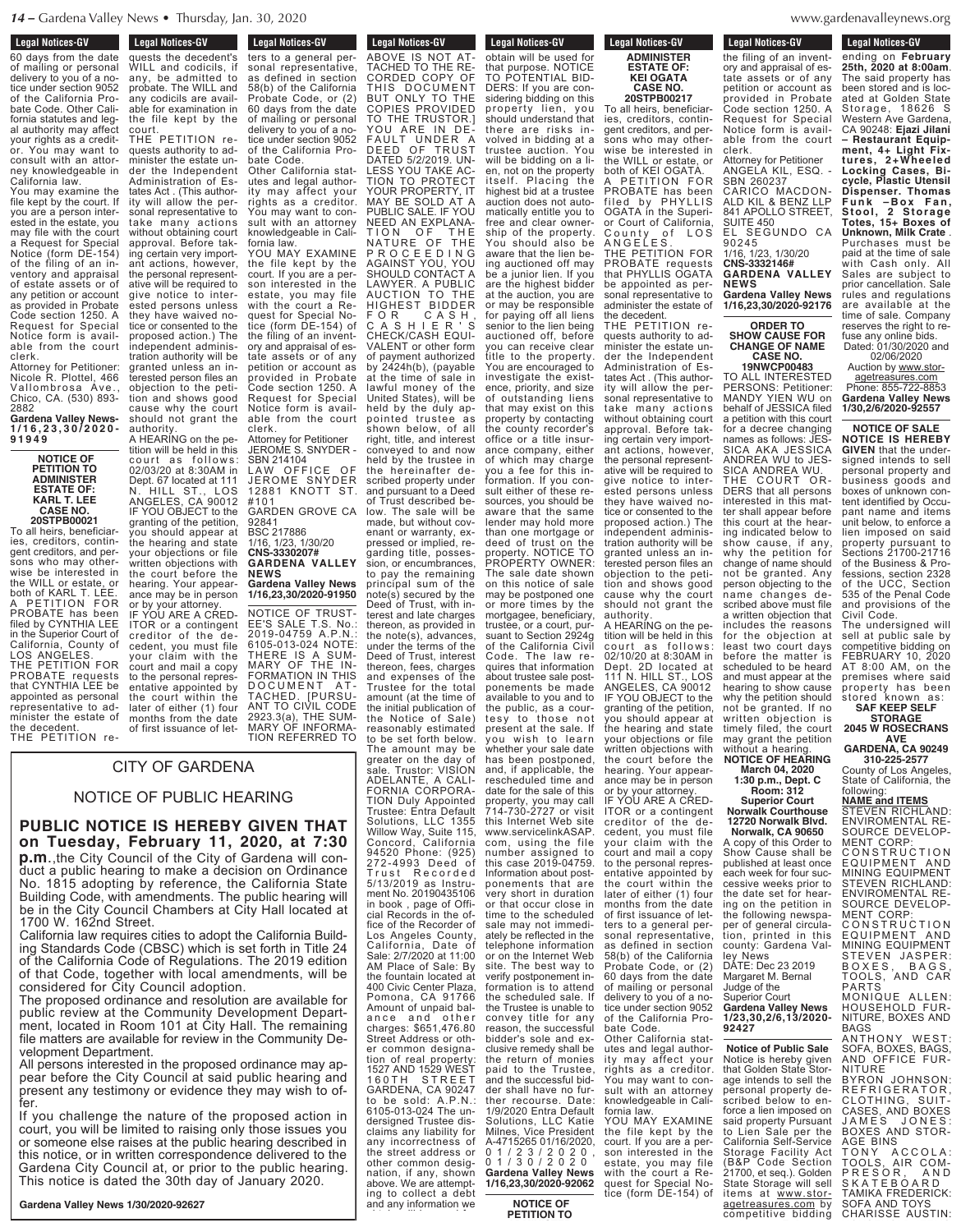# **Example 18** Legal Notices-GV

**Legal Nutiles-GV** 60 days from the date of mailing or personal delivery to you of a notice under section 9052 of the California Probate Code. Other California statutes and legal authority may affect your rights as a creditor. You may want to consult with an attorney knowledgeable in California law.

You may examine the file kept by the court. If you are a person interested in the estate, you may file with the court a Request for Special Notice (form DE-154) of the filing of an inventory and appraisal of estate assets or of any petition or account as provided in Probate Code section 1250. A Request for Special Notice form is available from the court clerk.

Attorney for Petitioner: Nicole R. Plottel, 466 Vallombrosa Ave., Chico, CA. (530) 893- 2882

authority. **Gardena Valley News-1 / 1 6 , 2 3 , 3 0 / 2 0 2 0 - 9 1 9 4 9**

> **NOTICE OF PETITION TO ADMINISTER ESTATE OF: KARL T. LEE CASE NO. 20STPB00021**

To all heirs, beneficiaries, creditors, contingent creditors, and persons who may otherwise be interested in the WILL or estate, or both of KARL T. LEE. A PETITION FOR PROBATE has been filed by CYNTHIA LEE in the Superior Court of California, County of LOS ANGELES. THE PETITION FOR

PROBATE requests that CYNTHIA LEE be appointed as personal representative to administer the estate of the decedent.

THE PETITION requests the decedent of the decedent

**Legal Notices-GV** Legal Nutries-GV ters to a general personal representative, as defined in section 58(b) of the California Probate Code, or (2) **Legal Notices-GV** Legal Nutrices-GV quests the decedent's WILL and codicils, if any, be admitted to probate. The WILL and any codicils are available for examination in the file kept by the court. THE PETITION requests authority to administer the estate under the Independent Administration of Estates Act . (This authority will allow the personal representative to take many actions without obtaining court approval. Before taking certain very important actions, however, the personal representative will be required to give notice to inter-

60 days from the date of mailing or personal delivery to you of a notice under section 9052 of the California Probate Code. Other California statutes and legal authority may affect your rights as a creditor. You may want to consult with an attorney

knowledgeable in California law. YOU MAY EXAMINE the file kept by the court. If you are a person interested in the estate, you may file with the court a Request for Special Notice (form DE-154) of the filing of an inventory and appraisal of estate assets or of any petition or account as provided in Probate Code section 1250. A Request for Special Notice form is available from the court clerk. ested persons unless they have waived notice or consented to the proposed action.) The independent administration authority will be granted unless an interested person files an objection to the petition and shows good cause why the court should not grant the

Attorney for Petitioner JEROME S. SNYDER - SBN 214104 LAW OFFICE OF JEROME SNYDER 12881 KNOTT ST. #101 GARDEN GROVE CA 92841 BSC 217886 A HEARING on the petition will be held in this court as follows: 02/03/20 at 8:30AM in Dept. 67 located at 111 N. HILL ST., LOS ANGELES, CA 90012 IF YOU OBJECT to the granting of the petition, you should appear at

1/16, 1/23, 1/30/20 **CNS-3330207# GARDENA VALLEY NEWS Gardena Valley News** the hearing and state your objections or file written objections with the court before the hearing. Your appearance may be in person

**1/16,23,30/2020-91950** NOTICE OF TRUST-EE'S SALE T.S. No.: 2019-04759 A.P.N.: 6105-013-024 NOTE: THERE IS A SUM-MARY OF THE IN-FORMATION IN THIS DOCUMENT AT-TACHED. [PURSU-ANT TO CIVIL CODE 2923.3(a), THE SUM-MARY OF INFORMA-TION REFERRED TO ABOVE IS NOT AT-

low. The sale will be made, but without covenant or warranty, ex-

#### CITY OF GARDENA  $\mathbf{A}$  $\overline{c}$ T H IS DOC U M E N T IT OF GARDET  $\blacksquare$ any, be admitted to probate. The WILL and

or by your attorney. IF YOU ARE A CRED-ITOR or a contingent creditor of the decedent, you must file your claim with the court and mail a copy to the personal representative appointed by the court within the later of either (1) four months from the date of first issuance of let-

#### NOTICE OF PUBLIC HEARING OF PUBLIC HEARING TO THE TRUSTOR.]  $\mathbf 0$  or public firm  $\overline{\phantom{a}}$  and  $\overline{\phantom{a}}$ able in the form in the set of the set of the set of the set of the set of the set of the set of the set of th the file kept by the file

**PUBLIC NOTICE IS HEREBY GIVEN THAT** | on <code>Tuesday, February 11, 2020, at 7:30</code> | **p.m**., the City Council of the City of Gardena will conduct a public hearing to make a decision on Ordinance No. 1815 adopting by reference, the California State Building Code, with amendments. The public hearing will be in the City Council Chambers at City Hall located at | 1700 W. 162nd Street. **CE IS HEREBY GIVEN THAT**  $\frac{1}{2}$ Pardena will conon on Ordinance | California State I bublic hearing will T I O N O F T H E T H E  $\mathbb{Z}$  the California  $\mathbb{Z}$  $\frac{1}{2}$  and  $\frac{1}{2}$  and  $\frac{1}{2}$  and  $\frac{1}{2}$ ing to make a decl g by reference, th vamendments. The l ou  $\Gamma$  ruptic right  $\mathsf{P}$ . $\mathsf{I}$ . $\mathsf{I}$ . $\mathsf{I}$ . $\mathsf{I}$ . $\mathsf{I}$ . $\mathsf{I}$ . $\mathsf{I}$ . $\mathsf{I}$ | duct a public hea l No. 1815 adopti Building Code, will

│ California law requires cities to adopt the California Build-<br>│ ing Standards Code (CBSC) which is set forth in Title 24 of the California Code of Regulations. The 2019 edition of that Code, together with local amendments, will be | California law requires cities to adopt the California Build- | of the California Code of Regulations. The 2019 edition AUCTION TO THE considered for City Council adoption

| considered for City Council adoption.<br>| The proposed ordinance and resolution are available for | Frie proposed cramatice and resolution are available for<br>public review at the Community Development Depart-<br>ment, located in Room 101 at City Hall. The remaining file matters are available for review in the Community De-<br>velopment Department.<br>All persons interested in the proposed ordinance may apthe Community Development Depart- $\mid$  ment, located in Room 101 at City Hall. The remaining  $\mid$ e Communitv De- I | file matters are available for review in the Community De-<br>| velopment Department  $t \in \text{Countinary Dev}$ velopment Department  $\Gamma$  incoproposed one tice or consented to the

| pear before the City Council at said public hearing and | present any testimony or evidence they may wish to offer.  $\left| \right.$  present any testimony or evidence they may wish to of-Eu in the proposeu able from the court woopment bepar **Leir bei anne ruifer an**  $\frac{1}{2}$  for  $\frac{1}{16}$  is the grant of grant the state of  $\frac{1}{16}$ 

ici.<br>If you challenge the nature of the proposed action in court, you will be limited to raising only those issues you  $\vert$  or someone else raises at the public hearing described in  $\vert$ this notice, or in written correspondence delivered to the and notice, or in whiteh correspondence delivered to the Gardena City Council at, or prior to the public hearing. | This notice is dated the 30th day of January 2020. he nature of the proposed action in ncil at, or prior to the public hearing. of Trust described be- $A$ torney for  $P$  $1.01$  at, 01 prior to t  $\mathsf{I}$  is you  $\int$  and notice, or in  $\sqrt{2}$  $\frac{1}{2}$  Gardena City Co ANGELES, CA 90012

you should appear at

 $L$ egal Notices-GV **ADMINISTER ESTATE OF: KEI OGATA CASE NO. 20STPB00217** To all heirs, beneficiaries, creditors, contingent creditors, and per-**Legal Notices-GV** Legal Nutries-GV obtain will be used for that purpose. NOTICE TO POTENTIAL BID-DERS: If you are considering bidding on this property lien, you should understand that there are risks involved in bidding at a trustee auction. You

aware that the lien be-

**Legal Notices-GV** Legal Nutles-GV ABOVE IS NOT AT-TACHED TO THE RE-CORDED COPY OF THIS DOCUMENT BUT ONLY TO THE COPIES PROVIDED TO THE TRUSTOR.] YOU ARE IN DE FAULT UNDER A DEED OF TRUST DATED 5/2/2019. UN-LESS YOU TAKE AC-TION TO PROTECT YOUR PROPERTY, IT MAY BE SOLD AT A PUBLIC SALE. IF YOU NEED AN EXPLANA-TION OF THE NATURE OF THE P R O C E E D I N G AGAINST YOU, YOU SHOULD CONTACT A LAWYER. A PUBLIC AUCTION TO THE HIGHEST BIDDER F O R C A S H , C A S H I E R ' S CHECK/CASH EQUI-VALENT or other form of payment authorized by 2424h(b), (payable at the time of sale in lawful money of the United States), will be held by the duly appointed trustee as shown below, of all right, title, and interest conveyed to and now held by the trustee in the hereinafter described property under and pursuant to a Deed of Trust described below. The sale will be made, but without covenant or warranty, expressed or implied, regarding title, possession, or encumbrances, to pay the remaining principal sum of the note(s) secured by the Deed of Trust, with interest and late charges thereon, as provided in the note(s), advances, under the terms of the Deed of Trust, interest thereon, fees, charges and expenses of the Trustee for the total amount (at the time of the initial publication of the Notice of Sale) reasonably estimated to be set forth below. The amount may be greater on the day of sale. Trustor: VISION ADELANTE, A CALI-FORNIA CORPORA-TION Duly Appointed Trustee: Entra Default Solutions, LLC 1355 Willow Way, Suite 115, Concord, California 94520 Phone: (925) 272-4993 Deed of Trust Recorded 5/13/2019 as Instrument No. 20190435106 in book , page of Offi-cial Records in the office of the Recorder of Los Angeles County, California, Date of Sale: 2/7/2020 at 11:00 AM Place of Sale: By the fountain located at 400 Civic Center Plaza, Pomona, CA 91766 Amount of unpaid balance and other charges: \$651,476.80 Street Address or other common designation of real property: 1527 AND 1529 WEST 160 TH STREET GARDENA, CA 90247 to be sold: A.P.N.: 6105-013-024 The undersigned Trustee disclaims any liability for any incorrectness of the street address or other common designation, if any, shown above. We are attempting to collect a debt and any information we

senior to the lien being auctioned off, before you can receive clear title to the property. You are encouraged to investigate the existence, priority, and size of outstanding liens that may exist on this property by contacting the county recorder's office or a title insurance company, either of which may charge you a fee for this information. If you consult either of these resources, you should be aware that the same lender may hold more than one mortgage or deed of trust on the property. NOTICE TO PROPERTY OWNER: The sale date shown on this notice of sale may be postponed one or more times by the mortgagee, beneficiary, trustee, or a court, pursuant to Section 2924g of the California Civil Code. The law requires that information about trustee sale postponements be made available to you and to the public, as a courtesy to those not present at the sale. If you wish to learn whether your sale date has been postponed, and, if applicable, the rescheduled time and date for the sale of this property, you may call 714-730-2727 or visit this Internet Web site www.servicelinkASAP. com, using the file number assigned to this case 2019-04759. Information about postponements that are very short in duration or that occur close in time to the scheduled sale may not immediately be reflected in the telephone information or on the Internet Web site. The best way to verify postponement information is to attend the scheduled sale. If the Trustee is unable to convey title for any reason, the successful bidder's sole and exclusive remedy shall be the return of monies paid to the Trustee, and the successful bidder shall have no further recourse. Date: 1/9/2020 Entra Default Solutions, LLC Katie Milnes, Vice President A-4715265 01/16/2020, 0 1 / 2 3 / 2 0 2 0 , 0 1 / 3 0 / 2 0 2 0 **Gardena Valley News 1/16,23,30/2020-92062**

sons who may otherwise be interested in the WILL or estate, or both of KEI OGATA. PETITION FOR PROBATE has been filed by PHYLLIS OGATA in the Superior Court of California, County of LOS A N G E L E S . THE PETITION FOR PROBATE requests that PHYLLIS OGATA be appointed as personal representative to administer the estate of will be bidding on a lien, not on the property itself. Placing the highest bid at a trustee auction does not automatically entitle you to free and clear ownership of the property. You should also be ing auctioned off may be a junior lien. If you are the highest bidder at the auction, you are or may be responsible for paying off all liens

the decedent. THE PETITION requests authority to administer the estate under the Independent Administration of Estates Act . (This authority will allow the personal representative to take many actions without obtaining court approval. Before taking certain very important actions, however, the personal representative will be required to give notice to interested persons unless they have waived notice or consented to the proposed action.) The independent administration authority will be granted unless an interested person files an objection to the petition and shows good cause why the court should not grant the authority.

A HEARING on the petition will be held in this court as follows: 02/10/20 at 8:30AM in Dept. 2D located at 111 N. HILL ST., LOS ANGELES, CA 90012 IF YOU OBJECT to the granting of the petition, you should appear at the hearing and state your objections or file written objections with the court before the hearing. Your appearance may be in person

or by your attorney. IF YOU ARE A CRED-ITOR or a contingent creditor of the decedent, you must file your claim with the court and mail a copy to the personal representative appointed by the court within the later of either (1) four months from the date of first issuance of letters to a general personal representative, as defined in section 58(b) of the California Probate Code, or (2) 60 days from the date of mailing or personal delivery to you of a notice under section 9052 of the California Probate Code.

Other California statutes and legal authority may affect your rights as a creditor. You may want to consult with an attorney knowledgeable in California law.

YOU MAY EXAMINE the file kept by the court. If you are a person interested in the estate, you may file with the court a Request for Special Notice (form DE-154) of

**NOTICE OF PETITION TO**

**Legal Notices-GV** competitive bidding ending on **February 25th, 2020 at 8:00am**. The said property has **Legal Notices-GV** Legal Nutles-GV the filing of an inventory and appraisal of estate assets or of any petition or account as provided in Probate Code section 1250. A Request for Special Notice form is available from the court clerk.

**Attorney for Petitioner** ANGELA KIL, ESQ. - SBN 260237 CARICO MACDON-ALD KIL & BENZ LLP 841 APOLLO STREET, SUITE 450 SEGUNDO CA EL SE<br>90245

1/16, 1/23, 1/30/20 **CNS-3332146# GARDENA VALLEY NEWS**

**Gardena Valley News 1/16,23,30/2020-92176**

**ORDER TO SHOW CAUSE FOR CHANGE OF NAME CASE NO.**

**19NWCP00483** TO ALL INTERESTED PERSONS: Petitioner: MANDY YIEN WU on behalf of JESSICA filed a petition with this court for a decree changing names as follows: JES-SICA AKA JESSICA ANDREA WU to JES-SICA ANDREA WU. **THE COURT OR-**DERS that all persons interested in this matter shall appear before this court at the hearing indicated below to show cause, if any, why the petition for change of name should not be granted. Any person objecting to the name changes described above must file written objection that includes the reasons for the objection at least two court days before the matter scheduled to be heard and must appear at the hearing to show cause why the petition should not be granted. If no written objection is timely filed, the court may grant the petition

without a hearing. **NOTICE OF HEARING March 04, 2020 1:30 p.m., Dept. C**

**Room: 312 Superior Court Norwalk Courthouse**

**12720 Norwalk Blvd. Norwalk, CA 90650**

A copy of this Order to Show Cause shall be published at least once each week for four successive weeks prior to the date set for hear-ing on the petition in the following newspaper of general circulation, printed in this county: Gardena Valley News DATE: Dec 23 2019 Margaret M. Bernal Judge of the

Superior Court **Gardena Valley News 1/23,30,2/6,13/2020- 92427**

**Notice of Public Sale** Notice is hereby given that Golden State Storage intends to sell the personal property described below to enforce a lien imposed on said property Pursuant to Lien Sale per the California Self-Service Storage Facility Act (B&P Code Section 21700, et seq.). Golden State Storage will sell items at <u>www.stor-</u> agetreasures.com by competitive bidding ending on **February**

been stored and is located at Golden State ated at Golden Storage, 18626 S Western Ave Gardena, CA 90248: **Ejazi Jilani – Restaurant Equipment, 4+ Light Fixtures, 2+Wheeled Locking Cases, Bicycle, Plastic Utensil Dispenser. Thomas F u n k – B o x F a n , Stool , 2 Stor age Totes, 15+ Boxes of Unknown, Milk Crate** . Purchases must be paid at the time of sale with Cash only. All Sales are subject to prior cancellation. Sale rules and regulations are available at the time of sale. Company reserves the right to refuse any online bids. Dated: 01/30/2020 and

02/06/2020 Auction by www.storagetreasures.com

Phone: 855-722-8853 **Gardena Valley News**

**1/30,2/6/2020-92557 NOTICE OF SALE NOTICE IS HEREBY GIVEN** that the undersigned intends to sell personal property and business goods and boxes of unknown content identified by Occupant name and items unit below, to enforce a lien imposed on said property pursuant to Sections 21700-21716 of the Business & Professions, section 2328 of the UCC, Section 535 of the Penal Code and provisions of the Civil Code.

The undersigned will sell at public sale by competitive bidding on FEBRUARY 10, 2020 AT 8:00 AM, on the premises where said property has been stored known as: **SAF KEEP SELF**

**STORAGE**

**2045 W ROSECRANS AVE GARDENA, CA 90249**

**310-225-2577** County of Los Angeles, State of California, the

following: **NAME and ITEMS** STEVEN RICHLAND:

ENVIROMENTAL RE-SOURCE DEVELOP-MENT CORP: C O N S T R U C T I O N

EQUIPMENT AND MINING EQUIPMENT STEVEN RICHLAND: ENVIROMENTAL RE-SOURCE DEVELOP-MENT CORP:

C O N S T R U C T I O N EQUIPMENT AND MINING EQUIPMENT STEVEN JASPER: B O X E S , B A G S ,

TOOLS, AND CAR PARTS MONIQUE ALLEN:

HOUSEHOLD FUR-NITURE, BOXES AND BAGS ANTHONY WEST:

SOFA, BOXES, BAGS, AND OFFICE FUR-NITURE BYRON JOHNSON R E F R I G E R A T O R , CLOTHING, SUIT-CASES, AND BOXES J A M E S J O N E S :

BOXES AND STOR-AGE BINS TONY ACCOLA: TOOLS, AIR COM-P R E S O R , A N D S K A T E B O A R D TAMIKA FREDERICK: SOFA AND TOYS CHARISSE AUSTIN:

HOUSEHOLD ITEMS